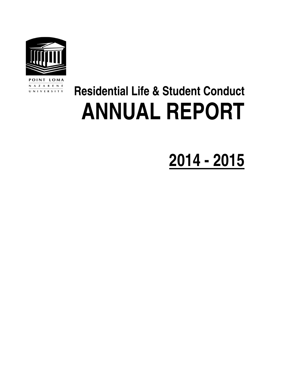

POINT LOMA N A Z A R E N E UNIVERSITY

# **Residential Life & Student Conduct ANNUAL REPORT**

# **2014 - 2015**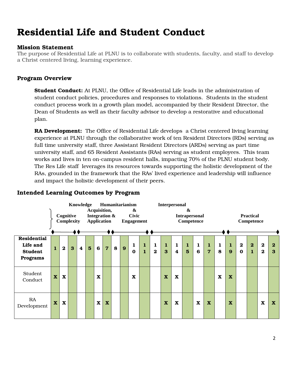## Residential Life and Student Conduct

#### Mission Statement

The purpose of Residential Life at PLNU is to collaborate with students, faculty, and staff to develop a Christ centered living, learning experience.

#### Program Overview

**Student Conduct:** At PLNU, the Office of Residential Life leads in the administration of student conduct policies, procedures and responses to violations. Students in the student conduct process work in a growth plan model, accompanied by their Resident Director, the Dean of Students as well as their faculty advisor to develop a restorative and educational plan.

**RA Development:** The Office of Residential Life develops a Christ centered living learning experience at PLNU through the collaborative work of ten Resident Directors (RDs) serving as full time university staff, three Assistant Resident Directors (ARDs) serving as part time university staff, and 65 Resident Assistants (RAs) serving as student employees. This team works and lives in ten on-campus resident halls, impacting 70% of the PLNU student body. The Res Life staff leverages its resources towards supporting the holistic development of the RAs, grounded in the framework that the RAs' lived experience and leadership will influence and impact the holistic development of their peers.

|                                                                     |                           | Cognitive<br><b>Complexity</b> |   |                  | Knowledge      |             | Acquisition,<br>Integration &<br>Application |   |   | <b>Humanitarianism</b><br>&<br><b>Civic</b><br><b>Engagement</b> |                              |                          | Interpersonal            |                                  | &<br><b>Intrapersonal</b><br>Competence |                      |                                |             |                         |                         | <b>Practical</b><br>Competence |                            |                   |
|---------------------------------------------------------------------|---------------------------|--------------------------------|---|------------------|----------------|-------------|----------------------------------------------|---|---|------------------------------------------------------------------|------------------------------|--------------------------|--------------------------|----------------------------------|-----------------------------------------|----------------------|--------------------------------|-------------|-------------------------|-------------------------|--------------------------------|----------------------------|-------------------|
| <b>Residential</b><br>Life and<br><b>Student</b><br><b>Programs</b> | $\mathbf{1}$              | $\bf{2}$                       | 3 | $\boldsymbol{4}$ | $5\phantom{1}$ | 6           | $\overline{7}$                               | 8 | 9 | 1<br>$\bf{0}$                                                    | $\mathbf{1}$<br>$\mathbf{1}$ | $\mathbf{1}$<br>$\bf{2}$ | $\mathbf{1}$<br>$\bf{3}$ | $\mathbf{1}$<br>$\boldsymbol{4}$ | $\mathbf{1}$<br>$5\overline{5}$         | 1<br>$6\phantom{1}6$ | $\mathbf{1}$<br>$\overline{7}$ | 1<br>8      | $\mathbf{1}$<br>9       | $\bf{2}$<br>$\mathbf 0$ | $\bf{2}$<br>$\mathbf{1}$       | $\mathbf 2$<br>$\mathbf 2$ | $\mathbf{2}$<br>3 |
| Student<br>Conduct                                                  | $\boldsymbol{\mathrm{X}}$ | $\mathbf X$                    |   |                  |                | $\mathbf X$ |                                              |   |   | $\mathbf x$                                                      |                              |                          | $\mathbf x$              | $\mathbf X$                      |                                         |                      |                                | $\mathbf x$ | $\mathbf x$             |                         |                                |                            |                   |
| RA<br>Development                                                   | $\boldsymbol{\mathrm{X}}$ | $\mathbf X$                    |   |                  |                | $\mathbf X$ | $\mathbf x$                                  |   |   |                                                                  |                              |                          | $\mathbf x$              | $\mathbf X$                      |                                         | $\mathbf X$          | $\mathbf X$                    |             | $\overline{\mathbf{X}}$ |                         |                                | $\mathbf x$                | $\mathbf x$       |

#### Intended Learning Outcomes by Program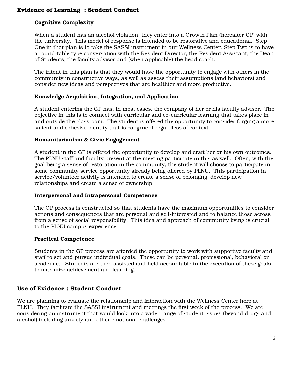### Evidence of Learning : Student Conduct

#### Cognitive Complexity

When a student has an alcohol violation, they enter into a Growth Plan (hereafter GP) with the university. This model of response is intended to be restorative and educational. Step One in that plan is to take the SASSI instrument in our Wellness Center. Step Two is to have a round-table type conversation with the Resident Director, the Resident Assistant, the Dean of Students, the faculty advisor and (when applicable) the head coach.

The intent in this plan is that they would have the opportunity to engage with others in the community in constructive ways, as well as assess their assumptions (and behaviors) and consider new ideas and perspectives that are healthier and more productive.

#### Knowledge Acquisition, Integration, and Application

A student entering the GP has, in most cases, the company of her or his faculty advisor. The objective in this is to connect with curricular and co-curricular learning that takes place in and outside the classroom. The student is offered the opportunity to consider forging a more salient and cohesive identity that is congruent regardless of context.

#### Humanitarianism & Civic Engagement

A student in the GP is offered the opportunity to develop and craft her or his own outcomes. The PLNU staff and faculty present at the meeting participate in this as well. Often, with the goal being a sense of restoration in the community, the student will choose to participate in some community service opportunity already being offered by PLNU. This participation in service/volunteer activity is intended to create a sense of belonging, develop new relationships and create a sense of ownership.

#### Interpersonal and Intrapersonal Competence

The GP process is constructed so that students have the maximum opportunities to consider actions and consequences that are personal and self-interested and to balance those across from a sense of social responsibility. This idea and approach of community living is crucial to the PLNU campus experience.

#### Practical Competence

Students in the GP process are afforded the opportunity to work with supportive faculty and staff to set and pursue individual goals. These can be personal, professional, behavioral or academic. Students are then assisted and held accountable in the execution of these goals to maximize achievement and learning.

### Use of Evidence : Student Conduct

We are planning to evaluate the relationship and interaction with the Wellness Center here at PLNU. They facilitate the SASSI instrument and meetings the first week of the process. We are considering an instrument that would look into a wider range of student issues (beyond drugs and alcohol) including anxiety and other emotional challenges.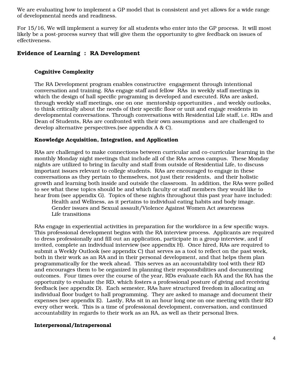We are evaluating how to implement a GP model that is consistent and yet allows for a wide range of developmental needs and readiness.

For 15/16, We will implement a survey for all students who enter into the GP process. It will most likely be a post-process survey that will give them the opportunity to give feedback on issues of effectiveness.

#### Evidence of Learning : RA Development

#### Cognitive Complexity

The RA Development program enables constructive engagement through intentional conversation and training. RAs engage staff and fellow RAs in weekly staff meetings in which the design of hall specific programing is developed and executed. RAs are asked, through weekly staff meetings, one on one mentorship opportunities , and weekly outlooks, to think critically about the needs of their specific floor or unit and engage residents in developmental conversations. Through conversations with Residential Life staff, i.e. RDs and Dean of Students, RAs are confronted with their own assumptions and are challenged to develop alternative perspectives.(see appendix A & C).

#### Knowledge Acquisition, Integration, and Application

RAs are challenged to make connections between curricular and co-curricular learning in the monthly Monday night meetings that include all of the RAs across campus. These Monday nights are utilized to bring in faculty and staff from outside of Residential Life, to discuss important issues relevant to college students. RAs are encouraged to engage in these conversations as they pertain to themselves, not just their residents, and their holistic growth and learning both inside and outside the classroom. In addition, the RAs were polled to see what these topics should be and which faculty or staff members they would like to hear from (see appendix G). Topics of these nights throughout this past year have included:

Health and Wellness, as it pertains to individual eating habits and body image. Gender issues and Sexual assault/Violence Against Women Act awareness Life transitions

RAs engage in experiential activities in preparation for the workforce in a few specific ways. This professional development begins with the RA interview process. Applicants are required to dress professionally and fill out an application, participate in a group interview, and if invited, complete an individual interview (see appendix H). Once hired, RAs are required to submit a Weekly Outlook (see appendix C) that serves as a tool to reflect on the past week, both in their work as an RA and in their personal development, and that helps them plan programmatically for the week ahead. This serves as an accountability tool with their RD and encourages them to be organized in planning their responsibilities and documenting outcomes. Four times over the course of the year, RDs evaluate each RA and the RA has the opportunity to evaluate the RD, which fosters a professional posture of giving and receiving feedback (see appendix D). Each semester, RAs have structured freedom in allocating an individual floor budget to hall programming. They are asked to manage and document their expenses (see appendix E). Lastly, RAs sit in an hour long one on one meeting with their RD every other week. This is a time of professional development, conversation, and continued accountability in regards to their work as an RA, as well as their personal lives.

#### Interpersonal/Intrapersonal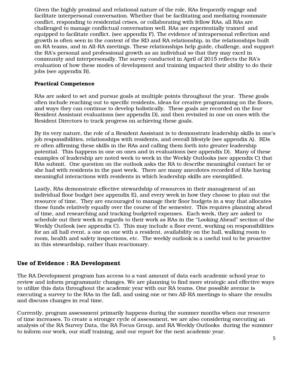Given the highly proximal and relational nature of the role, RAs frequently engage and facilitate interpersonal conversation. Whether that be facilitating and mediating roommate conflict, responding to residential crises, or collaborating with fellow RAs, all RAs are challenged to manage conflictual conversation well. RAs are experientially trained and equipped to facilitate conflict. (see appendix F). The evidence of intrapersonal reflection and growth is often seen in the context of the RD and RA relationship, in the relationships built on RA teams, and in All-RA meetings. These relationships help guide, challenge, and support the RA's personal and professional growth as an individual so that they may excel in community and interpersonally. The survey conducted in April of 2015 reflects the RA's evaluation of how these modes of development and training impacted their ability to do their jobs (see appendix B).

#### Practical Competence

RAs are asked to set and pursue goals at multiple points throughout the year. These goals often include reaching out to specific residents, ideas for creative programming on the floors, and ways they can continue to develop holistically. These goals are recorded on the four Resident Assistant evaluations (see appendix D), and then revisited in one on ones with the Resident Directors to track progress on achieving these goals.

By its very nature, the role of a Resident Assistant is to demonstrate leadership skills in one's job responsibilities, relationships with residents, and overall lifestyle (see appendix A). RDs re often affirming these skills in the RAs and calling them forth into greater leadership potential. This happens in one on ones and in evaluations (see appendix D). Many of these examples of leadership are noted week to week in the Weekly Outlooks (see appendix C) that RAs submit. One question on the outlook asks the RA to describe meaningful contact he or she had with residents in the past week. There are many anecdotes recorded of RAs having meaningful interactions with residents in which leadership skills are exemplified.

Lastly, RAs demonstrate effective stewardship of resources in their management of an individual floor budget (see appendix E), and every week in how they choose to plan out the resource of time. They are encouraged to manage their floor budgets in a way that allocates those funds relatively equally over the course of the semester. This requires planning ahead of time, and researching and tracking budgeted expenses. Each week, they are asked to schedule out their week in regards to their work as RAs in the "Looking Ahead" section of the Weekly Outlook (see appendix C). This may include a floor event, working on responsibilities for an all hall event, a one on one with a resident, availability on the hall, walking room to room, health and safety inspections, etc. The weekly outlook is a useful tool to be proactive in this stewardship, rather than reactionary.

#### Use of Evidence : RA Development

The RA Development program has access to a vast amount of data each academic school year to review and inform programmatic changes. We are planning to find more strategic and effective ways to utilize this data throughout the academic year with our RA teams. One possible avenue is executing a survey to the RAs in the fall, and using one or two All-RA meetings to share the results and discuss changes in real time.

Currently, program assessment primarily happens during the summer months when our resource of time increases. To create a stronger cycle of assessment, we are also considering executing an analysis of the RA Survey Data, the RA Focus Group, and RA Weekly Outlooks during the summer to inform our work, our staff training, and our report for the next academic year.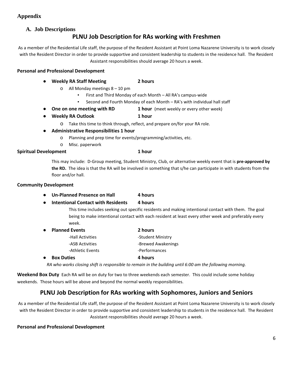#### **Appendix**

#### **A. Job Descriptions**

### PLNU Job Description for RAs working with Freshmen

As a member of the Residential Life staff, the purpose of the Resident Assistant at Point Loma Nazarene University is to work closely with the Resident Director in order to provide supportive and consistent leadership to students in the residence hall. The Resident Assistant responsibilities should average 20 hours a week.

#### Personal and Professional Development

- Weekly RA Staff Meeting 2 hours
	- o All Monday meetings 8 10 pm
		- First and Third Monday of each Month All RA's campus-wide
		- Second and Fourth Monday of each Month RA's with individual hall staff
- One on one meeting with RD 1 hour (meet weekly or every other week)
- Weekly RA Outlook 1 hour
	- o Take this time to think through, reflect, and prepare on/for your RA role.
- Administrative Responsibilities 1 hour
	- o Planning and prep time for events/programming/activities, etc.
	- o Misc. paperwork

#### Spiritual Development 1 hour

This may include: D-Group meeting, Student Ministry, Club, or alternative weekly event that is pre-approved by the RD. The idea is that the RA will be involved in something that s/he can participate in with students from the floor and/or hall.

#### Community Development

- Un-Planned Presence on Hall 4 hours
- Intentional Contact with Residents 4 hours

This time includes seeking out specific residents and making intentional contact with them. The goal being to make intentional contact with each resident at least every other week and preferably every week.

| $\bullet$ | <b>Planned Events</b> | 2 hours            |
|-----------|-----------------------|--------------------|
|           | -Hall Activities      | -Student Ministry  |
|           | -ASB Activities       | -Brewed Awakenings |
|           | -Athletic Events      | -Performances      |
| $\bullet$ | <b>Box Duties</b>     | 4 hours            |

RA who works closing shift is responsible to remain in the building until 6:00 am the following morning.

Weekend Box Duty Each RA will be on duty for two to three weekends each semester. This could include some holiday weekends. Those hours will be above and beyond the normal weekly responsibilities.

### PLNU Job Description for RAs working with Sophomores, Juniors and Seniors

As a member of the Residential Life staff, the purpose of the Resident Assistant at Point Loma Nazarene University is to work closely with the Resident Director in order to provide supportive and consistent leadership to students in the residence hall. The Resident Assistant responsibilities should average 20 hours a week.

#### Personal and Professional Development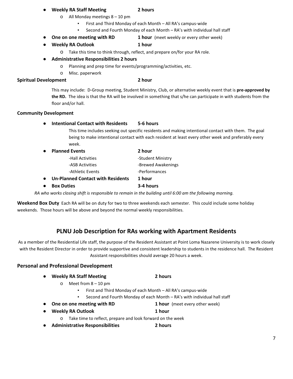#### Weekly RA Staff Meeting **2 hours**

#### o All Monday meetings 8 – 10 pm

- First and Third Monday of each Month All RA's campus-wide
- Second and Fourth Monday of each Month RA's with individual hall staff
- One on one meeting with RD 1 hour (meet weekly or every other week)
- Weekly RA Outlook 1 hour
	- o Take this time to think through, reflect, and prepare on/for your RA role.
- Administrative Responsibilities 2 hours
	- o Planning and prep time for events/programming/activities, etc.
	- o Misc. paperwork

#### Spiritual Development 2 hour

This may include: D-Group meeting, Student Ministry, Club, or alternative weekly event that is pre-approved by the RD. The idea is that the RA will be involved in something that s/he can participate in with students from the floor and/or hall.

#### Community Development

● Intentional Contact with Residents 5-6 hours

This time includes seeking out specific residents and making intentional contact with them. The goal being to make intentional contact with each resident at least every other week and preferably every week.

| $\bullet$ | <b>Planned Events</b>                    | 2 hour             |
|-----------|------------------------------------------|--------------------|
|           | -Hall Activities                         | -Student Ministry  |
|           | -ASB Activities                          | -Brewed Awakenings |
|           | -Athletic Events                         | -Performances      |
| $\bullet$ | <b>Un-Planned Contact with Residents</b> | 1 hour             |
| $\bullet$ | <b>Box Duties</b>                        | 3-4 hours          |

RA who works closing shift is responsible to remain in the building until 6:00 am the following morning.

Weekend Box Duty Each RA will be on duty for two to three weekends each semester. This could include some holiday weekends. Those hours will be above and beyond the normal weekly responsibilities.

## PLNU Job Description for RAs working with Apartment Residents

As a member of the Residential Life staff, the purpose of the Resident Assistant at Point Loma Nazarene University is to work closely with the Resident Director in order to provide supportive and consistent leadership to students in the residence hall. The Resident Assistant responsibilities should average 20 hours a week.

#### Personal and Professional Development

| $\bullet$ | <b>Weekly RA Staff Meeting</b> | 2 hours |
|-----------|--------------------------------|---------|
|-----------|--------------------------------|---------|

- o Meet from 8 10 pm
	- First and Third Monday of each Month All RA's campus-wide
	- Second and Fourth Monday of each Month RA's with individual hall staff
- One on one meeting with RD 1 hour (meet every other week)
- Weekly RA Outlook 1 hour
	- o Take time to reflect, prepare and look forward on the week
- Administrative Responsibilities 2 hours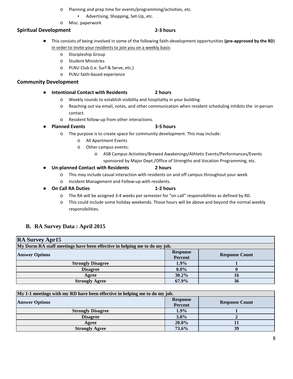- o Planning and prep time for events/programming/activities, etc.
	- Advertising, Shopping, Set-Up, etc.
- o Misc. paperwork

#### Spiritual Development 2-3 hours

- This consists of being involved in some of the following faith-development opportunities (pre-approved by the RD) in order to invite your residents to join you on a weekly basis:
	- o Discipleship Group
	- o Student Ministries
	- o PLNU Club (i.e. Surf & Serve, etc.)
	- o PLNU faith-based experience

#### Community Development

- Intentional Contact with Residents 2 hours
	- o Weekly rounds to establish visibility and hospitality in your building.
	- o Reaching out via email, notes, and other communication when resident scheduling inhibits the in-person contact.
	- o Resident follow-up from other interactions.
- **Planned Events** 3-5 hours

- o The purpose is to create space for community development. This may include:
	- o All Apartment Events
	- o Other campus events:
		- o ASB Campus Activities/Brewed Awakenings/Athletic Events/Performances/Events
			- sponsored by Major Dept./Office of Strengths and Vocation Programming, etc.

#### ● Un-planned Contact with Residents 2 hours

- o This may include casual interaction with residents on and off campus throughout your week.
- o Incident Management and Follow-up with residents.
- **On Call RA Duties 1-2 hours** 
	- o The RA will be assigned 3-4 weeks per semester for "on call" responsibilities as defined by RD.
	- o This could include some holiday weekends. Those hours will be above and beyond the normal weekly responsibilities.

#### **B. RA Survey Data : April 2015**

| <b>RA Survey Apr15</b>                                                    |                 |                       |  |  |  |
|---------------------------------------------------------------------------|-----------------|-----------------------|--|--|--|
| My Dorm RA staff meetings have been effective in helping me to do my job. |                 |                       |  |  |  |
| <b>Answer Options</b>                                                     | <b>Response</b> | <b>Response Count</b> |  |  |  |
|                                                                           | <b>Percent</b>  |                       |  |  |  |
| <b>Strongly Disagree</b>                                                  | $1.9\%$         |                       |  |  |  |
| <b>Disagree</b>                                                           | $0.0\%$         |                       |  |  |  |
| Agree                                                                     | 30.2%           | 16                    |  |  |  |
| <b>Strongly Agree</b>                                                     | 67.9%           | 36                    |  |  |  |

| My 1-1 meetings with my RD have been effective in helping me to do my job. |                            |                       |  |  |  |
|----------------------------------------------------------------------------|----------------------------|-----------------------|--|--|--|
| <b>Answer Options</b>                                                      | <b>Response</b><br>Percent | <b>Response Count</b> |  |  |  |
| <b>Strongly Disagree</b>                                                   | 1.9%                       |                       |  |  |  |
| <b>Disagree</b>                                                            | 3.8%                       |                       |  |  |  |
| Agree                                                                      | 20.8%                      |                       |  |  |  |
| <b>Strongly Agree</b>                                                      | 73.6%                      | 39                    |  |  |  |

- 
- 
- -
	-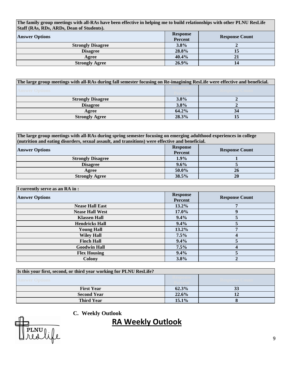**The family group meetings with all-RAs have been effective in helping me to build relationships with other PLNU ResLife Staff (RAs, RDs, ARDs, Dean of Students).**

| <b>Answer Options</b>    | <b>Response</b><br>Percent | <b>Response Count</b> |
|--------------------------|----------------------------|-----------------------|
| <b>Strongly Disagree</b> | 3.8%                       |                       |
| <b>Disagree</b>          | 28.8%                      | 15                    |
| Agree                    | 40.4%                      |                       |
| <b>Strongly Agree</b>    | 26.9%                      | 14                    |

| The large group meetings with all-RAs during fall semester focusing on Re-imagining ResLife were effective and beneficial. |       |  |  |  |  |
|----------------------------------------------------------------------------------------------------------------------------|-------|--|--|--|--|
| <b>Answer Options</b>                                                                                                      |       |  |  |  |  |
| <b>Strongly Disagree</b>                                                                                                   | 3.8%  |  |  |  |  |
| <b>Disagree</b>                                                                                                            | 3.8%  |  |  |  |  |
| Agree                                                                                                                      | 64.2% |  |  |  |  |
| <b>Strongly Agree</b>                                                                                                      | 28.3% |  |  |  |  |

| The large group meetings with all-RAs during spring semester focusing on emerging adulthood experiences in college |
|--------------------------------------------------------------------------------------------------------------------|
| (nutrition and eating disorders, sexual assault, and transitions) were effective and beneficial.                   |

| <b>Answer Options</b>    | <b>Response</b><br>Percent | <b>Response Count</b> |
|--------------------------|----------------------------|-----------------------|
| <b>Strongly Disagree</b> | 1.9%                       |                       |
| <b>Disagree</b>          | 9.6%                       |                       |
| Agree                    | 50.0%                      | 26                    |
| <b>Strongly Agree</b>    | 38.5%                      | 20                    |

| I currently serve as an RA in : |                            |                       |  |  |  |
|---------------------------------|----------------------------|-----------------------|--|--|--|
| <b>Answer Options</b>           | <b>Response</b><br>Percent | <b>Response Count</b> |  |  |  |
| <b>Nease Hall East</b>          | 13.2%                      |                       |  |  |  |
| <b>Nease Hall West</b>          | 17.0%                      | 9                     |  |  |  |
| <b>Klassen Hall</b>             | $9.4\%$                    |                       |  |  |  |
| <b>Hendricks Hall</b>           | $9.4\%$                    |                       |  |  |  |
| <b>Young Hall</b>               | $13.2\%$                   | 7                     |  |  |  |
| <b>Wiley Hall</b>               | 7.5%                       |                       |  |  |  |
| <b>Finch Hall</b>               | $9.4\%$                    |                       |  |  |  |
| <b>Goodwin Hall</b>             | 7.5%                       | $\Lambda$             |  |  |  |
| <b>Flex Housing</b>             | $9.4\%$                    |                       |  |  |  |
| <b>Colony</b>                   | 3.8%                       |                       |  |  |  |

| Is this your first, second, or third year working for PLNU ResLife? |       |  |  |  |  |  |
|---------------------------------------------------------------------|-------|--|--|--|--|--|
| <b>Answer Options</b>                                               |       |  |  |  |  |  |
| <b>First Year</b>                                                   | 62.3% |  |  |  |  |  |
| <b>Second Year</b>                                                  | 22.6% |  |  |  |  |  |
| <b>Third Year</b>                                                   | 15.1% |  |  |  |  |  |

#### **C. Weekly Outlook**

## RA Weekly Outlook

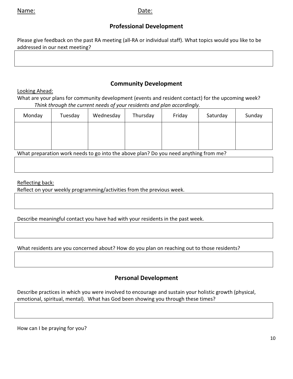## Professional Development

Please give feedback on the past RA meeting (all-RA or individual staff). What topics would you like to be addressed in our next meeting?

## Looking Ahead:

### Community Development

What are your plans for community development (events and resident contact) for the upcoming week? Think through the current needs of your residents and plan accordingly.

| Monday | Tuesday | Wednesday | Thursday | Friday | Saturday | Sunday |
|--------|---------|-----------|----------|--------|----------|--------|
|        |         |           |          |        |          |        |
|        |         |           |          |        |          |        |
|        |         |           |          |        |          |        |

What preparation work needs to go into the above plan? Do you need anything from me?

### Reflecting back:

Reflect on your weekly programming/activities from the previous week.

Describe meaningful contact you have had with your residents in the past week.

What residents are you concerned about? How do you plan on reaching out to those residents?

## Personal Development

Describe practices in which you were involved to encourage and sustain your holistic growth (physical, emotional, spiritual, mental). What has God been showing you through these times?

How can I be praying for you?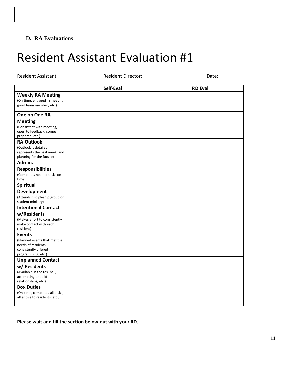### **D. RA Evaluations**

# Resident Assistant Evaluation #1

| <b>Resident Assistant:</b>                                                                        | <b>Resident Director:</b> | Date:          |
|---------------------------------------------------------------------------------------------------|---------------------------|----------------|
|                                                                                                   | Self-Eval                 | <b>RD Eval</b> |
| <b>Weekly RA Meeting</b><br>(On time, engaged in meeting,<br>good team member, etc.)              |                           |                |
| One on One RA                                                                                     |                           |                |
| <b>Meeting</b>                                                                                    |                           |                |
| (Consistent with meeting,<br>open to feedback, comes<br>prepared, etc.)                           |                           |                |
| <b>RA Outlook</b>                                                                                 |                           |                |
| (Outlook is detailed,<br>represents the past week, and<br>planning for the future)                |                           |                |
| Admin.                                                                                            |                           |                |
| <b>Responsibilities</b>                                                                           |                           |                |
| (Completes needed tasks on<br>time)                                                               |                           |                |
| Spiritual                                                                                         |                           |                |
| <b>Development</b><br>(Attends discipleship group or<br>student ministry)                         |                           |                |
| <b>Intentional Contact</b>                                                                        |                           |                |
| w/Residents                                                                                       |                           |                |
| (Makes effort to consistently<br>make contact with each<br>resident)                              |                           |                |
| <b>Events</b>                                                                                     |                           |                |
| (Planned events that met the<br>needs of residents,<br>consistently offered<br>programming, etc.) |                           |                |
| <b>Unplanned Contact</b>                                                                          |                           |                |
| w/ Residents                                                                                      |                           |                |
| (Available in the res. hall,<br>attempting to build<br>relationships, etc.)                       |                           |                |
| <b>Box Duties</b>                                                                                 |                           |                |
| (On-time, completes all tasks,<br>attentive to residents, etc.)                                   |                           |                |
|                                                                                                   |                           |                |

Please wait and fill the section below out with your RD.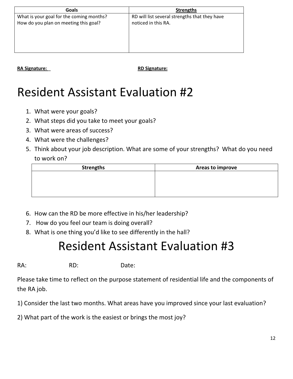| Goals                                    | <b>Strengths</b>                              |
|------------------------------------------|-----------------------------------------------|
| What is your goal for the coming months? | RD will list several strengths that they have |
| How do you plan on meeting this goal?    | noticed in this RA.                           |
|                                          |                                               |
|                                          |                                               |
|                                          |                                               |
|                                          |                                               |

RA Signature: <u>National Signature:</u> **RA Signature: RD Signature:** 

# Resident Assistant Evaluation #2

- 1. What were your goals?
- 2. What steps did you take to meet your goals?
- 3. What were areas of success?
- 4. What were the challenges?
- 5. Think about your job description. What are some of your strengths? What do you need to work on?

| <b>Strengths</b> | Areas to improve |  |  |
|------------------|------------------|--|--|
|                  |                  |  |  |
|                  |                  |  |  |
|                  |                  |  |  |
|                  |                  |  |  |

- 6. How can the RD be more effective in his/her leadership?
- 7. How do you feel our team is doing overall?
- 8. What is one thing you'd like to see differently in the hall?

# Resident Assistant Evaluation #3

RA: RD: Date:

Please take time to reflect on the purpose statement of residential life and the components of the RA job.

- 1) Consider the last two months. What areas have you improved since your last evaluation?
- 2) What part of the work is the easiest or brings the most joy?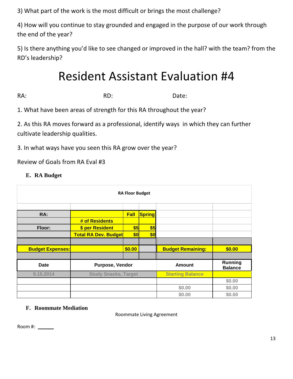3) What part of the work is the most difficult or brings the most challenge?

4) How will you continue to stay grounded and engaged in the purpose of our work through the end of the year?

5) Is there anything you'd like to see changed or improved in the hall? with the team? from the RD's leadership?

# Resident Assistant Evaluation #4

RA: Battle RD: RD: Date:

1. What have been areas of strength for this RA throughout the year?

2. As this RA moves forward as a professional, identify ways in which they can further cultivate leadership qualities.

3. In what ways have you seen this RA grow over the year?

Review of Goals from RA Eval #3

### **E. RA Budget**

| <b>RA Floor Budget</b>  |                             |        |               |                                  |        |
|-------------------------|-----------------------------|--------|---------------|----------------------------------|--------|
|                         |                             |        |               |                                  |        |
| RA:                     |                             | Fall   | <b>Spring</b> |                                  |        |
|                         | # of Residents              |        |               |                                  |        |
| Floor:                  | \$ per Resident             | \$5    | \$5           |                                  |        |
|                         | <b>Total RA Dev. Budget</b> | \$0    | \$0           |                                  |        |
|                         |                             |        |               |                                  |        |
| <b>Budget Expenses:</b> |                             | \$0.00 |               | <b>Budget Remaining:</b>         | \$0.00 |
|                         |                             |        |               |                                  |        |
| <b>Date</b>             | Purpose, Vendor             |        | Amount        | <b>Running</b><br><b>Balance</b> |        |
| 9.15.2014               | <b>Study Snacks, Target</b> |        |               | <b>Starting Balance</b>          |        |
|                         |                             |        |               |                                  | \$0.00 |
|                         |                             |        |               | \$0.00                           | \$0.00 |
|                         |                             |        |               | \$0.00                           | \$0.00 |

### **F. Roommate Mediation**

Roommate Living Agreement

Room #: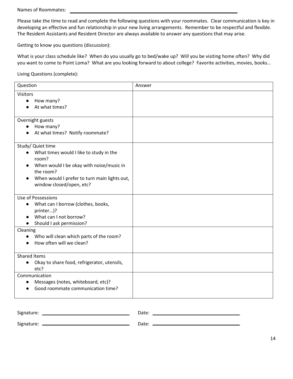Please take the time to read and complete the following questions with your roommates. Clear communication is key in developing an effective and fun relationship in your new living arrangements. Remember to be respectful and flexible. The Resident Assistants and Resident Director are always available to answer any questions that may arise.

Getting to know you questions (discussion):

What is your class schedule like? When do you usually go to bed/wake up? Will you be visiting home often? Why did you want to come to Point Loma? What are you looking forward to about college? Favorite activities, movies, books…

Living Questions (complete):

| Question                                                                                                                                                                                                                             | Answer |
|--------------------------------------------------------------------------------------------------------------------------------------------------------------------------------------------------------------------------------------|--------|
| <b>Visitors</b><br>How many?<br>$\bullet$<br>At what times?                                                                                                                                                                          |        |
| Overnight guests<br>How many?<br>$\bullet$<br>At what times? Notify roommate?                                                                                                                                                        |        |
| Study/ Quiet time<br>What times would I like to study in the<br>$\bullet$<br>room?<br>When would I be okay with noise/music in<br>the room?<br>When would I prefer to turn main lights out,<br>$\bullet$<br>window closed/open, etc? |        |
| Use of Possessions<br>What can I borrow (clothes, books,<br>$\bullet$<br>printer)?<br>What can I not borrow?<br>Should I ask permission?                                                                                             |        |
| Cleaning<br>Who will clean which parts of the room?<br>How often will we clean?                                                                                                                                                      |        |
| <b>Shared Items</b><br>Okay to share food, refrigerator, utensils,<br>$\bullet$<br>etc?                                                                                                                                              |        |
| Communication<br>Messages (notes, whiteboard, etc)?<br>Good roommate communication time?                                                                                                                                             |        |

| Signature:                               | Date: |
|------------------------------------------|-------|
| Signature: <u>______________________</u> | Date: |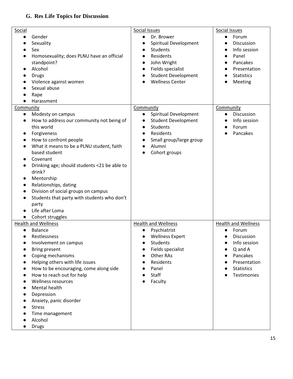## **G. Res Life Topics for Discussion**

| Social                                           | Social Issues                        | Social Issues                        |
|--------------------------------------------------|--------------------------------------|--------------------------------------|
| Gender                                           | Dr. Brower<br>$\bullet$              | Forum<br>$\bullet$                   |
| Sexuality                                        | Spiritual Development                | Discussion                           |
| Sex                                              | <b>Students</b>                      | Info session<br>$\bullet$            |
| Homosexuality; does PLNU have an official        | Residents                            | Panel                                |
| standpoint?                                      | John Wright<br>$\bullet$             | Pancakes                             |
| Alcohol                                          | Fields specialist                    | Presentation                         |
| <b>Drugs</b>                                     | <b>Student Development</b>           | <b>Statistics</b>                    |
| Violence against women                           | <b>Wellness Center</b>               | Meeting<br>$\bullet$                 |
| Sexual abuse                                     |                                      |                                      |
| Rape                                             |                                      |                                      |
| Harassment                                       |                                      |                                      |
|                                                  |                                      |                                      |
| Community                                        | Community                            | Community<br>Discussion<br>$\bullet$ |
| Modesty on campus                                | Spiritual Development<br>$\bullet$   |                                      |
| How to address our community not being of<br>٠   | <b>Student Development</b>           | Info session                         |
| this world                                       | <b>Students</b><br>$\bullet$         | Forum                                |
| Forgiveness<br>$\bullet$                         | Residents<br>$\bullet$               | Pancakes                             |
| How to confront people<br>$\bullet$              | Small group/large group<br>$\bullet$ |                                      |
| What it means to be a PLNU student, faith        | Alumni                               |                                      |
| based student                                    | Cohort groups                        |                                      |
| Covenant                                         |                                      |                                      |
| Drinking age; should students <21 be able to     |                                      |                                      |
| drink?                                           |                                      |                                      |
| Mentorship<br>$\bullet$                          |                                      |                                      |
| Relationships, dating                            |                                      |                                      |
| Division of social groups on campus              |                                      |                                      |
| Students that party with students who don't<br>٠ |                                      |                                      |
| party                                            |                                      |                                      |
| Life after Loma                                  |                                      |                                      |
| Cohort struggles<br>$\bullet$                    |                                      |                                      |
| <b>Health and Wellness</b>                       | <b>Health and Wellness</b>           | <b>Health and Wellness</b>           |
| <b>Balance</b>                                   | Psychiatrist                         | Forum                                |
| Restlessness<br>$\bullet$                        | <b>Wellness Expert</b><br>$\bullet$  | <b>Discussion</b>                    |
| Involvement on campus                            | Students                             | Info session                         |
| <b>Bring present</b>                             | Fields specialist                    | Q and A                              |
| Coping mechanisms                                | <b>Other RAs</b>                     | Pancakes                             |
| Helping others with life issues                  | Residents                            | Presentation                         |
| How to be encouraging, come along side           | Panel                                | <b>Statistics</b>                    |
| How to reach out for help                        | Staff                                | Testimonies                          |
| <b>Wellness resources</b>                        | Faculty                              |                                      |
| Mental health                                    |                                      |                                      |
| Depression                                       |                                      |                                      |
| Anxiety, panic disorder                          |                                      |                                      |
| <b>Stress</b>                                    |                                      |                                      |
| Time management                                  |                                      |                                      |
| Alcohol                                          |                                      |                                      |
|                                                  |                                      |                                      |
| <b>Drugs</b>                                     |                                      |                                      |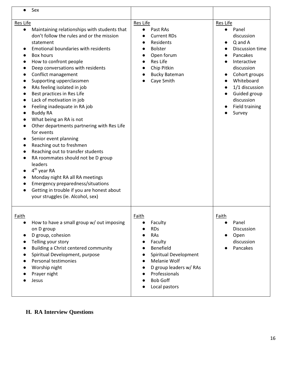| Sex                                                                                                                                                                                                                                                                                                                                                                                                                                                                                                                                                                                                                                                                                                                                                                                                                                                        |                                                                                                                                                                                       |                                                                                                                                                                                                                                                    |
|------------------------------------------------------------------------------------------------------------------------------------------------------------------------------------------------------------------------------------------------------------------------------------------------------------------------------------------------------------------------------------------------------------------------------------------------------------------------------------------------------------------------------------------------------------------------------------------------------------------------------------------------------------------------------------------------------------------------------------------------------------------------------------------------------------------------------------------------------------|---------------------------------------------------------------------------------------------------------------------------------------------------------------------------------------|----------------------------------------------------------------------------------------------------------------------------------------------------------------------------------------------------------------------------------------------------|
| Res Life<br>Maintaining relationships with students that<br>don't follow the rules and or the mission<br>statement<br>Emotional boundaries with residents<br>Box hours<br>How to confront people<br>Deep conversations with residents<br>Conflict management<br>Supporting upperclassmen<br>RAs feeling isolated in job<br>Best practices in Res Life<br>Lack of motivation in job<br>Feeling inadequate in RA job<br><b>Buddy RA</b><br>What being an RA is not<br>Other departments partnering with Res Life<br>for events<br>Senior event planning<br>Reaching out to freshmen<br>Reaching out to transfer students<br>RA roommates should not be D group<br>leaders<br>$4th$ year RA<br>Monday night RA all RA meetings<br><b>Emergency preparedness/situations</b><br>Getting in trouble if you are honest about<br>your struggles (ie. Alcohol, sex) | Res Life<br>Past RAs<br><b>Current RDs</b><br>Residents<br><b>Bolster</b><br>Open forum<br><b>Res Life</b><br>Chip Pitkin<br><b>Bucky Bateman</b><br>Caye Smith                       | Res Life<br>Panel<br>$\bullet$<br>discussion<br>Q and A<br>Discussion time<br>Pancakes<br>Interactive<br>discussion<br>Cohort groups<br>$\bullet$<br>Whiteboard<br>1/1 discussion<br>Guided group<br>discussion<br><b>Field training</b><br>Survey |
| Faith<br>How to have a small group w/ out imposing<br>on D group<br>D group, cohesion<br>Telling your story<br>Building a Christ centered community<br>Spiritual Development, purpose<br>Personal testimonies<br>Worship night<br>Prayer night<br>Jesus                                                                                                                                                                                                                                                                                                                                                                                                                                                                                                                                                                                                    | Faith<br>Faculty<br><b>RDs</b><br>RAs<br>Faculty<br>Benefield<br>Spiritual Development<br>Melanie Wolf<br>D group leaders w/ RAs<br>Professionals<br><b>Bob Goff</b><br>Local pastors | Faith<br>Panel<br>$\bullet$<br>Discussion<br>Open<br>$\bullet$<br>discussion<br>Pancakes                                                                                                                                                           |

**H. RA Interview Questions**